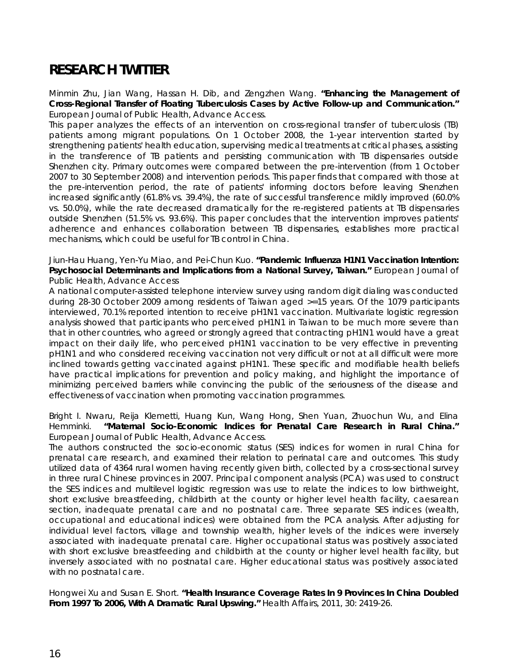# **RESEARCH TWITTER**

Minmin Zhu, Jian Wang, Hassan H. Dib, and Zengzhen Wang. **"Enhancing the Management of Cross-Regional Transfer of Floating Tuberculosis Cases by Active Follow-up and Communication."** *European Journal of Public Health*, Advance Access.

This paper analyzes the effects of an intervention on cross-regional transfer of tuberculosis (TB) patients among migrant populations. On 1 October 2008, the 1-year intervention started by strengthening patients' health education, supervising medical treatments at critical phases, assisting in the transference of TB patients and persisting communication with TB dispensaries outside Shenzhen city. Primary outcomes were compared between the pre-intervention (from 1 October 2007 to 30 September 2008) and intervention periods. This paper finds that compared with those at the pre-intervention period, the rate of patients' informing doctors before leaving Shenzhen increased significantly (61.8% vs. 39.4%), the rate of successful transference mildly improved (60.0% vs. 50.0%), while the rate decreased dramatically for the re-registered patients at TB dispensaries outside Shenzhen (51.5% vs. 93.6%). This paper concludes that the intervention improves patients' adherence and enhances collaboration between TB dispensaries, establishes more practical mechanisms, which could be useful for TB control in China.

### Jiun-Hau Huang, Yen-Yu Miao, and Pei-Chun Kuo. **"Pandemic Influenza H1N1 Vaccination Intention: Psychosocial Determinants and Implications from a National Survey, Taiwan."** *European Journal of Public Health*, Advance Access

A national computer-assisted telephone interview survey using random digit dialing was conducted during 28-30 October 2009 among residents of Taiwan aged >=15 years. Of the 1079 participants interviewed, 70.1% reported intention to receive pH1N1 vaccination. Multivariate logistic regression analysis showed that participants who perceived pH1N1 in Taiwan to be much more severe than that in other countries, who agreed or strongly agreed that contracting pH1N1 would have a great impact on their daily life, who perceived pH1N1 vaccination to be very effective in preventing pH1N1 and who considered receiving vaccination not very difficult or not at all difficult were more inclined towards getting vaccinated against pH1N1. These specific and modifiable health beliefs have practical implications for prevention and policy making, and highlight the importance of minimizing perceived barriers while convincing the public of the seriousness of the disease and effectiveness of vaccination when promoting vaccination programmes.

#### Bright I. Nwaru, Reija Klemetti, Huang Kun, Wang Hong, Shen Yuan, Zhuochun Wu, and Elina Hemminki. **"Maternal Socio-Economic Indices for Prenatal Care Research in Rural China."** *European Journal of Public Health*, Advance Access.

The authors constructed the socio-economic status (SES) indices for women in rural China for prenatal care research, and examined their relation to perinatal care and outcomes. This study utilized data of 4364 rural women having recently given birth, collected by a cross-sectional survey in three rural Chinese provinces in 2007. Principal component analysis (PCA) was used to construct the SES indices and multilevel logistic regression was use to relate the indices to low birthweight, short exclusive breastfeeding, childbirth at the county or higher level health facility, caesarean section, inadequate prenatal care and no postnatal care. Three separate SES indices (wealth, occupational and educational indices) were obtained from the PCA analysis. After adjusting for individual level factors, village and township wealth, higher levels of the indices were inversely associated with inadequate prenatal care. Higher occupational status was positively associated with short exclusive breastfeeding and childbirth at the county or higher level health facility, but inversely associated with no postnatal care. Higher educational status was positively associated with no postnatal care.

Hongwei Xu and Susan E. Short. **"Health Insurance Coverage Rates In 9 Provinces In China Doubled From 1997 To 2006, With A Dramatic Rural Upswing."** *Health Affairs*, 2011, 30: 2419-26.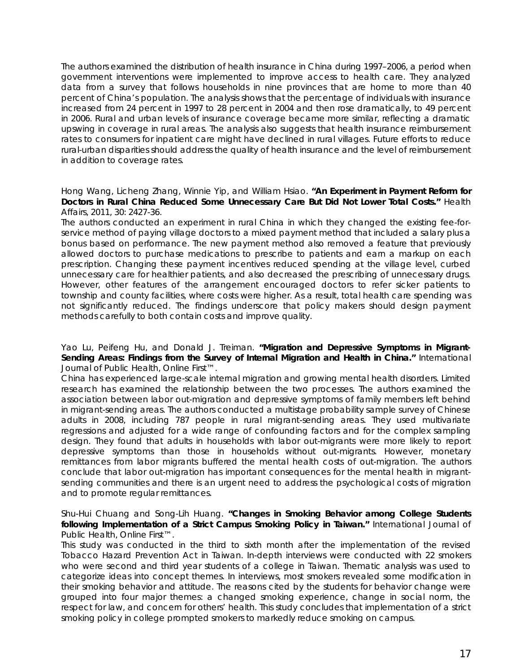The authors examined the distribution of health insurance in China during 1997–2006, a period when government interventions were implemented to improve access to health care. They analyzed data from a survey that follows households in nine provinces that are home to more than 40 percent of China's population. The analysis shows that the percentage of individuals with insurance increased from 24 percent in 1997 to 28 percent in 2004 and then rose dramatically, to 49 percent in 2006. Rural and urban levels of insurance coverage became more similar, reflecting a dramatic upswing in coverage in rural areas. The analysis also suggests that health insurance reimbursement rates to consumers for inpatient care might have declined in rural villages. Future efforts to reduce rural-urban disparities should address the quality of health insurance and the level of reimbursement in addition to coverage rates.

#### Hong Wang, Licheng Zhang, Winnie Yip, and William Hsiao. **"An Experiment in Payment Reform for Doctors in Rural China Reduced Some Unnecessary Care But Did Not Lower Total Costs."** *Health Affairs*, 2011, 30: 2427-36.

The authors conducted an experiment in rural China in which they changed the existing fee-forservice method of paying village doctors to a mixed payment method that included a salary plus a bonus based on performance. The new payment method also removed a feature that previously allowed doctors to purchase medications to prescribe to patients and earn a markup on each prescription. Changing these payment incentives reduced spending at the village level, curbed unnecessary care for healthier patients, and also decreased the prescribing of unnecessary drugs. However, other features of the arrangement encouraged doctors to refer sicker patients to township and county facilities, where costs were higher. As a result, total health care spending was not significantly reduced. The findings underscore that policy makers should design payment methods carefully to both contain costs and improve quality.

#### Yao Lu, Peifeng Hu, and Donald J. Treiman. **"Migration and Depressive Symptoms in Migrant-Sending Areas: Findings from the Survey of Internal Migration and Health in China."** *International Journal of Public Health*, Online First™.

China has experienced large-scale internal migration and growing mental health disorders. Limited research has examined the relationship between the two processes. The authors examined the association between labor out-migration and depressive symptoms of family members left behind in migrant-sending areas. The authors conducted a multistage probability sample survey of Chinese adults in 2008, including 787 people in rural migrant-sending areas. They used multivariate regressions and adjusted for a wide range of confounding factors and for the complex sampling design. They found that adults in households with labor out-migrants were more likely to report depressive symptoms than those in households without out-migrants. However, monetary remittances from labor migrants buffered the mental health costs of out-migration. The authors conclude that labor out-migration has important consequences for the mental health in migrantsending communities and there is an urgent need to address the psychological costs of migration and to promote regular remittances.

## Shu-Hui Chuang and Song-Lih Huang. **"Changes in Smoking Behavior among College Students following Implementation of a Strict Campus Smoking Policy in Taiwan."** *International Journal of Public Health*, Online First™.

This study was conducted in the third to sixth month after the implementation of the revised Tobacco Hazard Prevention Act in Taiwan. In-depth interviews were conducted with 22 smokers who were second and third year students of a college in Taiwan. Thematic analysis was used to categorize ideas into concept themes. In interviews, most smokers revealed some modification in their smoking behavior and attitude. The reasons cited by the students for behavior change were grouped into four major themes: a changed smoking experience, change in social norm, the respect for law, and concern for others' health. This study concludes that implementation of a strict smoking policy in college prompted smokers to markedly reduce smoking on campus.